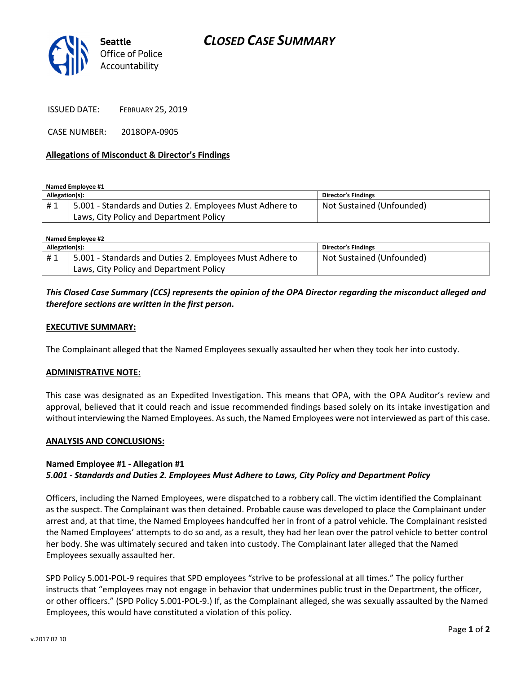

ISSUED DATE: FEBRUARY 25, 2019

CASE NUMBER: 2018OPA-0905

## Allegations of Misconduct & Director's Findings

Named Employee #1

| Allegation(s): |                                                          | <b>Director's Findings</b> |
|----------------|----------------------------------------------------------|----------------------------|
| #1             | 5.001 - Standards and Duties 2. Employees Must Adhere to | Not Sustained (Unfounded)  |
|                | Laws, City Policy and Department Policy                  |                            |

| Named Employee #2 |                                                          |                            |  |
|-------------------|----------------------------------------------------------|----------------------------|--|
| Allegation(s):    |                                                          | <b>Director's Findings</b> |  |
| #1                | 5.001 - Standards and Duties 2. Employees Must Adhere to | Not Sustained (Unfounded)  |  |
|                   | Laws, City Policy and Department Policy                  |                            |  |

# This Closed Case Summary (CCS) represents the opinion of the OPA Director regarding the misconduct alleged and therefore sections are written in the first person.

## EXECUTIVE SUMMARY:

The Complainant alleged that the Named Employees sexually assaulted her when they took her into custody.

#### ADMINISTRATIVE NOTE:

This case was designated as an Expedited Investigation. This means that OPA, with the OPA Auditor's review and approval, believed that it could reach and issue recommended findings based solely on its intake investigation and without interviewing the Named Employees. As such, the Named Employees were not interviewed as part of this case.

#### ANALYSIS AND CONCLUSIONS:

## Named Employee #1 - Allegation #1 5.001 - Standards and Duties 2. Employees Must Adhere to Laws, City Policy and Department Policy

Officers, including the Named Employees, were dispatched to a robbery call. The victim identified the Complainant as the suspect. The Complainant was then detained. Probable cause was developed to place the Complainant under arrest and, at that time, the Named Employees handcuffed her in front of a patrol vehicle. The Complainant resisted the Named Employees' attempts to do so and, as a result, they had her lean over the patrol vehicle to better control her body. She was ultimately secured and taken into custody. The Complainant later alleged that the Named Employees sexually assaulted her.

SPD Policy 5.001-POL-9 requires that SPD employees "strive to be professional at all times." The policy further instructs that "employees may not engage in behavior that undermines public trust in the Department, the officer, or other officers." (SPD Policy 5.001-POL-9.) If, as the Complainant alleged, she was sexually assaulted by the Named Employees, this would have constituted a violation of this policy.